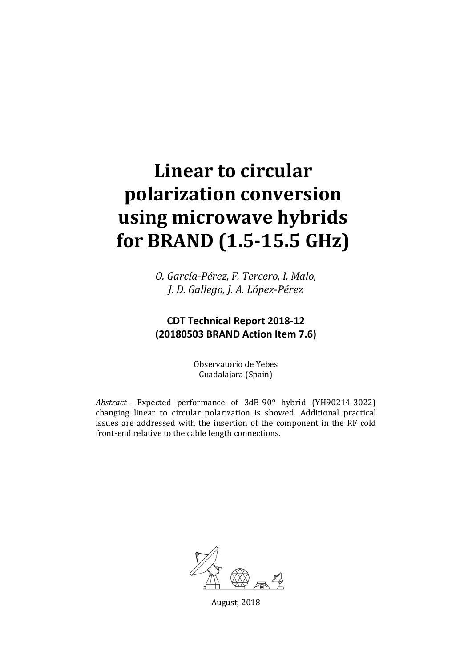# **Linear to circular polarization conversion using microwave hybrids for BRAND (1.5-15.5 GHz)**

*O. García-Pérez, F. Tercero, I. Malo, J. D. Gallego, J. A. López-Pérez*

## **CDT Technical Report 2018-12 (20180503 BRAND Action Item 7.6)**

Observatorio de Yebes Guadalajara (Spain)

*Abstract–* Expected performance of 3dB-90º hybrid (YH90214-3022) changing linear to circular polarization is showed. Additional practical issues are addressed with the insertion of the component in the RF cold front-end relative to the cable length connections.



August, 2018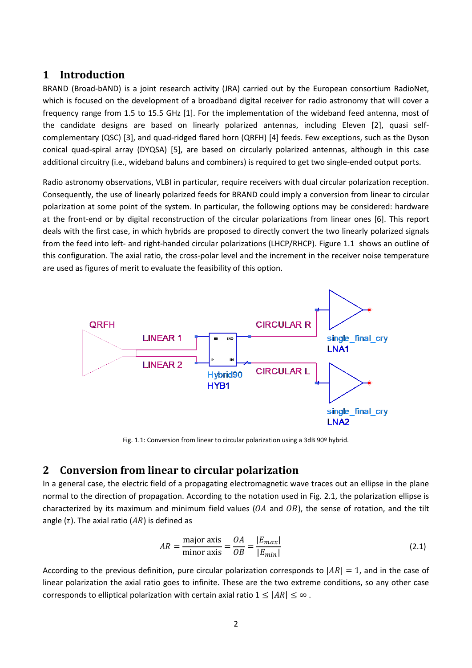#### **1 Introduction**

BRAND (Broad-bAND) is a joint research activity (JRA) carried out by the European consortium RadioNet, which is focused on the development of a broadband digital receiver for radio astronomy that will cover a frequency range from 1.5 to 15.5 GHz [\[1\].](#page-7-0) For the implementation of the wideband feed antenna, most of the candidate designs are based on linearly polarized antennas, including Eleven [\[2\],](#page-7-1) quasi selfcomplementary (QSC) [\[3\],](#page-7-2) and quad-ridged flared horn (QRFH) [\[4\]](#page-7-3) feeds. Few exceptions, such as the Dyson conical quad-spiral array (DYQSA) [\[5\],](#page-7-4) are based on circularly polarized antennas, although in this case additional circuitry (i.e., wideband baluns and combiners) is required to get two single-ended output ports.

Radio astronomy observations, VLBI in particular, require receivers with dual circular polarization reception. Consequently, the use of linearly polarized feeds for BRAND could imply a conversion from linear to circular polarization at some point of the system. In particular, the following options may be considered: hardware at the front-end or by digital reconstruction of the circular polarizations from linear ones [\[6\].](#page-7-5) This report deals with the first case, in which hybrids are proposed to directly convert the two linearly polarized signals from the feed into left- and right-handed circular polarizations (LHCP/RHCP). Figure 1.1 shows an outline of this configuration. The axial ratio, the cross-polar level and the increment in the receiver noise temperature are used as figures of merit to evaluate the feasibility of this option.



Fig. 1.1: Conversion from linear to circular polarization using a 3dB 90º hybrid.

#### <span id="page-1-0"></span>**2 Conversion from linear to circular polarization**

In a general case, the electric field of a propagating electromagnetic wave traces out an ellipse in the plane normal to the direction of propagation. According to the notation used in [Fig. 2.1,](#page-2-0) the polarization ellipse is characterized by its maximum and minimum field values ( $OA$  and  $OB$ ), the sense of rotation, and the tilt angle ( $\tau$ ). The axial ratio ( $AR$ ) is defined as

$$
AR = \frac{\text{major axis}}{\text{minor axis}} = \frac{OA}{OB} = \frac{|E_{max}|}{|E_{min}|}
$$
(2.1)

According to the previous definition, pure circular polarization corresponds to  $|AR| = 1$ , and in the case of linear polarization the axial ratio goes to infinite. These are the two extreme conditions, so any other case corresponds to elliptical polarization with certain axial ratio  $1 \leq |AR| \leq \infty$ .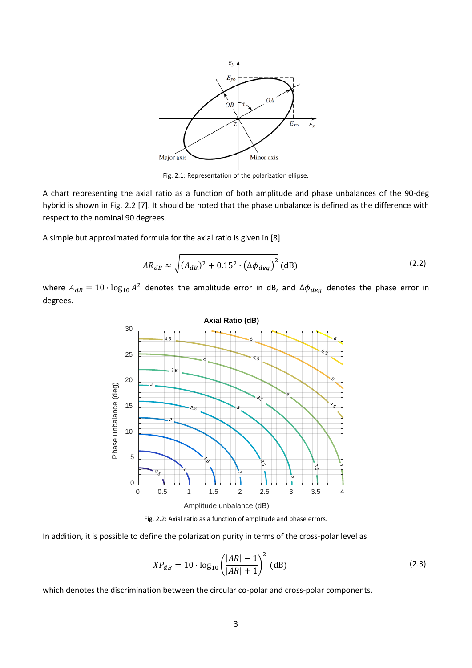

Fig. 2.1: Representation of the polarization ellipse.

<span id="page-2-0"></span>A chart representing the axial ratio as a function of both amplitude and phase unbalances of the 90-deg hybrid is shown in [Fig. 2.2](#page-2-1) [\[7\].](#page-7-6) It should be noted that the phase unbalance is defined as the difference with respect to the nominal 90 degrees.

A simple but approximated formula for the axial ratio is given in [\[8\]](#page-7-7)

$$
AR_{dB} \approx \sqrt{(A_{dB})^2 + 0.15^2 \cdot (\Delta \phi_{deg})^2} \text{ (dB)}
$$
 (2.2)

where  $A_{dB} = 10 \cdot \log_{10} A^2$  denotes the amplitude error in dB, and  $\Delta \phi_{deg}$  denotes the phase error in degrees.



Fig. 2.2: Axial ratio as a function of amplitude and phase errors.

<span id="page-2-1"></span>In addition, it is possible to define the polarization purity in terms of the cross-polar level as

$$
XP_{dB} = 10 \cdot \log_{10} \left(\frac{|AR| - 1}{|AR| + 1}\right)^2 \text{ (dB)}
$$
 (2.3)

which denotes the discrimination between the circular co-polar and cross-polar components.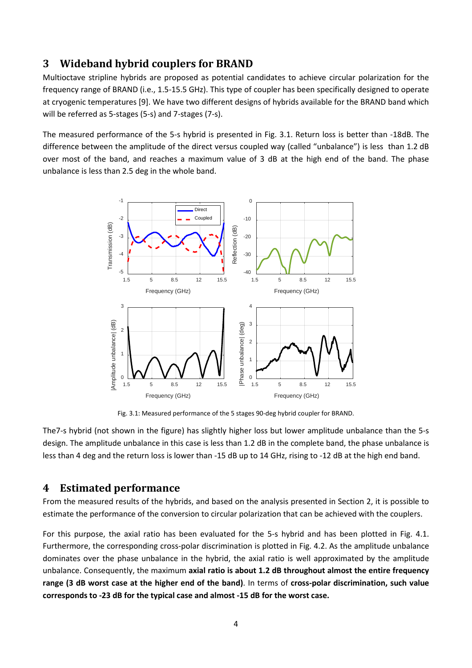### **3 Wideband hybrid couplers for BRAND**

Multioctave stripline hybrids are proposed as potential candidates to achieve circular polarization for the frequency range of BRAND (i.e., 1.5-15.5 GHz). This type of coupler has been specifically designed to operate at cryogenic temperatures [\[9\].](#page-7-8) We have two different designs of hybrids available for the BRAND band which will be referred as 5-stages (5-s) and 7-stages (7-s).

The measured performance of the 5-s hybrid is presented in [Fig. 3.1.](#page-3-0) Return loss is better than -18dB. The difference between the amplitude of the direct versus coupled way (called "unbalance") is less than 1.2 dB over most of the band, and reaches a maximum value of 3 dB at the high end of the band. The phase unbalance is less than 2.5 deg in the whole band.



Fig. 3.1: Measured performance of the 5 stages 90-deg hybrid coupler for BRAND.

<span id="page-3-0"></span>The7-s hybrid (not shown in the figure) has slightly higher loss but lower amplitude unbalance than the 5-s design. The amplitude unbalance in this case is less than 1.2 dB in the complete band, the phase unbalance is less than 4 deg and the return loss is lower than -15 dB up to 14 GHz, rising to -12 dB at the high end band.

#### **4 Estimated performance**

From the measured results of the hybrids, and based on the analysis presented in Section [2,](#page-1-0) it is possible to estimate the performance of the conversion to circular polarization that can be achieved with the couplers.

For this purpose, the axial ratio has been evaluated for the 5-s hybrid and has been plotted in [Fig. 4.1.](#page-4-0) Furthermore, the corresponding cross-polar discrimination is plotted in [Fig. 4.2.](#page-4-1) As the amplitude unbalance dominates over the phase unbalance in the hybrid, the axial ratio is well approximated by the amplitude unbalance. Consequently, the maximum **axial ratio is about 1.2 dB throughout almost the entire frequency range (3 dB worst case at the higher end of the band)**. In terms of **cross-polar discrimination, such value corresponds to -23 dB for the typical case and almost -15 dB for the worst case.**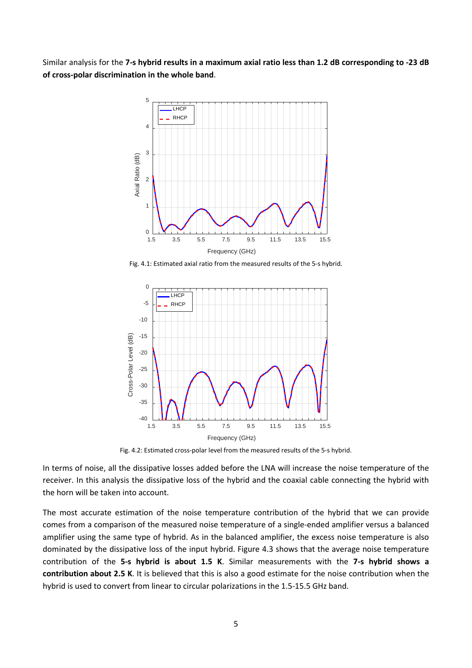Similar analysis for the **7-s hybrid results in a maximum axial ratio less than 1.2 dB corresponding to -23 dB of cross-polar discrimination in the whole band**.



Fig. 4.1: Estimated axial ratio from the measured results of the 5-s hybrid.

<span id="page-4-0"></span>

Fig. 4.2: Estimated cross-polar level from the measured results of the 5-s hybrid.

<span id="page-4-1"></span>In terms of noise, all the dissipative losses added before the LNA will increase the noise temperature of the receiver. In this analysis the dissipative loss of the hybrid and the coaxial cable connecting the hybrid with the horn will be taken into account.

The most accurate estimation of the noise temperature contribution of the hybrid that we can provide comes from a comparison of the measured noise temperature of a single-ended amplifier versus a balanced amplifier using the same type of hybrid. As in the balanced amplifier, the excess noise temperature is also dominated by the dissipative loss of the input hybrid. Figure 4.3 shows that the average noise temperature contribution of the **5-s hybrid is about 1.5 K**. Similar measurements with the **7-s hybrid shows a contribution about 2.5 K**. It is believed that this is also a good estimate for the noise contribution when the hybrid is used to convert from linear to circular polarizations in the 1.5-15.5 GHz band.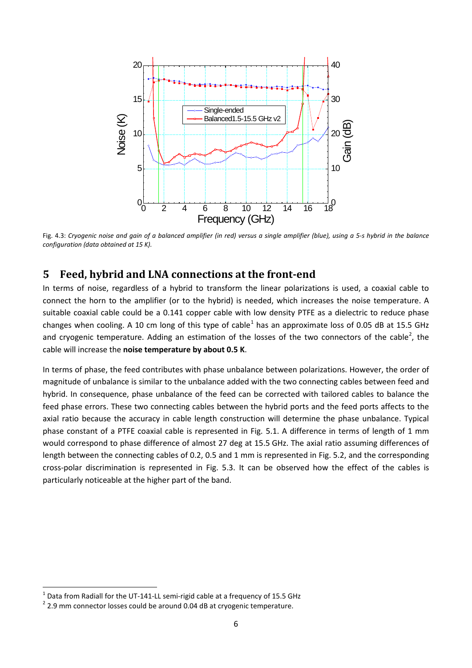

Fig. 4.3: *Cryogenic noise and gain of a balanced amplifier (in red) versus a single amplifier (blue), using a 5-s hybrid in the balance configuration (data obtained at 15 K).*

#### **5 Feed, hybrid and LNA connections at the front-end**

In terms of noise, regardless of a hybrid to transform the linear polarizations is used, a coaxial cable to connect the horn to the amplifier (or to the hybrid) is needed, which increases the noise temperature. A suitable coaxial cable could be a 0.141 copper cable with low density PTFE as a dielectric to reduce phase changes when cooling. A [1](#page-5-0)0 cm long of this type of cable<sup>1</sup> has an approximate loss of 0.05 dB at 15.5 GHz and cryogenic temperature. Adding an estimation of the losses of the two connectors of the cable<sup>[2](#page-5-1)</sup>, the cable will increase the **noise temperature by about 0.5 K**.

In terms of phase, the feed contributes with phase unbalance between polarizations. However, the order of magnitude of unbalance is similar to the unbalance added with the two connecting cables between feed and hybrid. In consequence, phase unbalance of the feed can be corrected with tailored cables to balance the feed phase errors. These two connecting cables between the hybrid ports and the feed ports affects to the axial ratio because the accuracy in cable length construction will determine the phase unbalance. Typical phase constant of a PTFE coaxial cable is represented in [Fig. 5.1.](#page-6-0) A difference in terms of length of 1 mm would correspond to phase difference of almost 27 deg at 15.5 GHz. The axial ratio assuming differences of length between the connecting cables of 0.2, 0.5 and 1 mm is represented in [Fig. 5.2,](#page-6-1) and the corresponding cross-polar discrimination is represented in [Fig. 5.3.](#page-6-2) It can be observed how the effect of the cables is particularly noticeable at the higher part of the band.

<span id="page-5-1"></span><span id="page-5-0"></span><sup>&</sup>lt;sup>1</sup> Data from Radiall for the UT-141-LL semi-rigid cable at a frequency of 15.5 GHz<br><sup>2</sup> 2.9 mm connector losses could be around 0.04 dB at cryogenic temperature.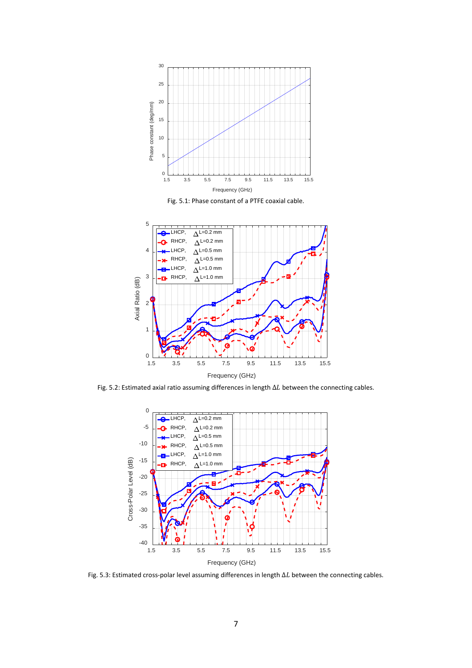

Fig. 5.1: Phase constant of a PTFE coaxial cable.

<span id="page-6-0"></span>

<span id="page-6-1"></span>Fig. 5.2: Estimated axial ratio assuming differences in length  $\Delta L$  between the connecting cables.



<span id="page-6-2"></span>Fig. 5.3: Estimated cross-polar level assuming differences in length  $\Delta L$  between the connecting cables.